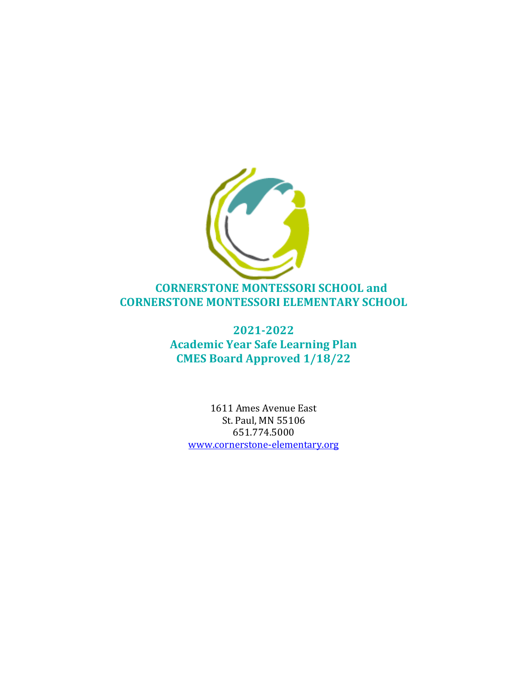

**2021-2022 Academic Year Safe Learning Plan CMES Board Approved 1/18/22**

> 1611 Ames Avenue East St. Paul, MN 55106 651.774.5000 www.cornerstone-elementary.org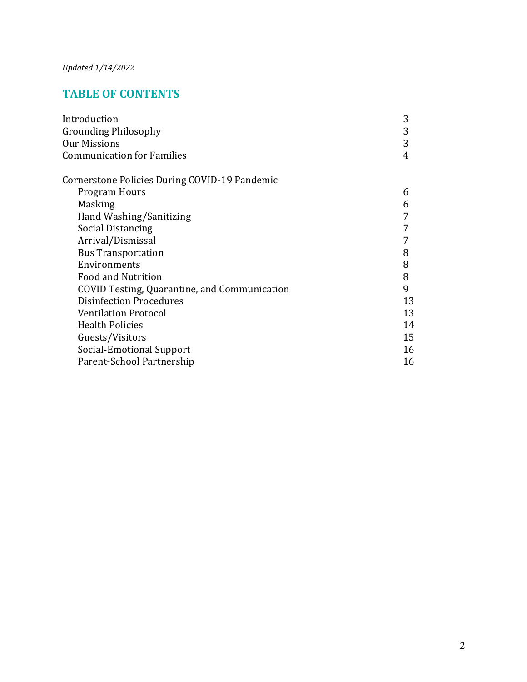# **TABLE OF CONTENTS**

| Introduction                                  | 3  |
|-----------------------------------------------|----|
| <b>Grounding Philosophy</b>                   | 3  |
| <b>Our Missions</b>                           | 3  |
| <b>Communication for Families</b>             | 4  |
| Cornerstone Policies During COVID-19 Pandemic |    |
| Program Hours                                 | 6  |
| Masking                                       | 6  |
| Hand Washing/Sanitizing                       |    |
| Social Distancing                             |    |
| Arrival/Dismissal                             |    |
| <b>Bus Transportation</b>                     | 8  |
| Environments                                  | 8  |
| <b>Food and Nutrition</b>                     | 8  |
| COVID Testing, Quarantine, and Communication  | 9  |
| <b>Disinfection Procedures</b>                | 13 |
| <b>Ventilation Protocol</b>                   | 13 |
| <b>Health Policies</b>                        | 14 |
| Guests/Visitors                               | 15 |
| Social-Emotional Support                      | 16 |
| Parent-School Partnership                     | 16 |
|                                               |    |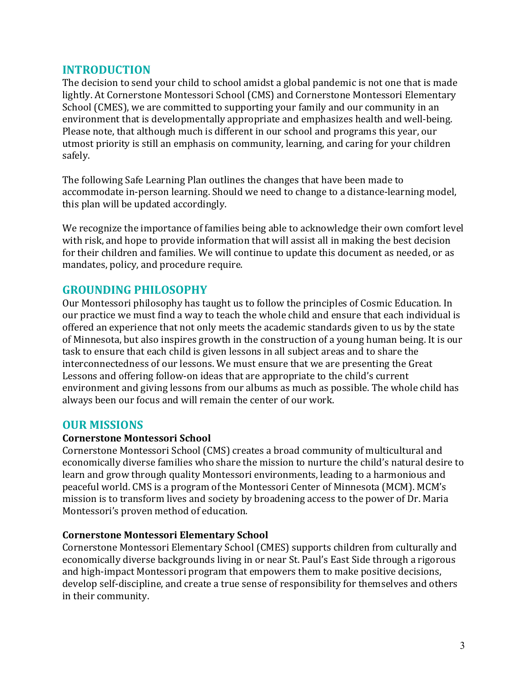### **INTRODUCTION**

The decision to send your child to school amidst a global pandemic is not one that is made lightly. At Cornerstone Montessori School (CMS) and Cornerstone Montessori Elementary School (CMES), we are committed to supporting your family and our community in an environment that is developmentally appropriate and emphasizes health and well-being. Please note, that although much is different in our school and programs this year, our utmost priority is still an emphasis on community, learning, and caring for your children safely. 

The following Safe Learning Plan outlines the changes that have been made to accommodate in-person learning. Should we need to change to a distance-learning model, this plan will be updated accordingly.

We recognize the importance of families being able to acknowledge their own comfort level with risk, and hope to provide information that will assist all in making the best decision for their children and families. We will continue to update this document as needed, or as mandates, policy, and procedure require.

#### **GROUNDING PHILOSOPHY**

Our Montessori philosophy has taught us to follow the principles of Cosmic Education. In our practice we must find a way to teach the whole child and ensure that each individual is offered an experience that not only meets the academic standards given to us by the state of Minnesota, but also inspires growth in the construction of a young human being. It is our task to ensure that each child is given lessons in all subject areas and to share the interconnectedness of our lessons. We must ensure that we are presenting the Great Lessons and offering follow-on ideas that are appropriate to the child's current environment and giving lessons from our albums as much as possible. The whole child has always been our focus and will remain the center of our work.

#### **OUR MISSIONS**

#### **Cornerstone Montessori School**

Cornerstone Montessori School (CMS) creates a broad community of multicultural and economically diverse families who share the mission to nurture the child's natural desire to learn and grow through quality Montessori environments, leading to a harmonious and peaceful world. CMS is a program of the Montessori Center of Minnesota (MCM). MCM's mission is to transform lives and society by broadening access to the power of Dr. Maria Montessori's proven method of education.

#### **Cornerstone Montessori Elementary School**

Cornerstone Montessori Elementary School (CMES) supports children from culturally and economically diverse backgrounds living in or near St. Paul's East Side through a rigorous and high-impact Montessori program that empowers them to make positive decisions, develop self-discipline, and create a true sense of responsibility for themselves and others in their community.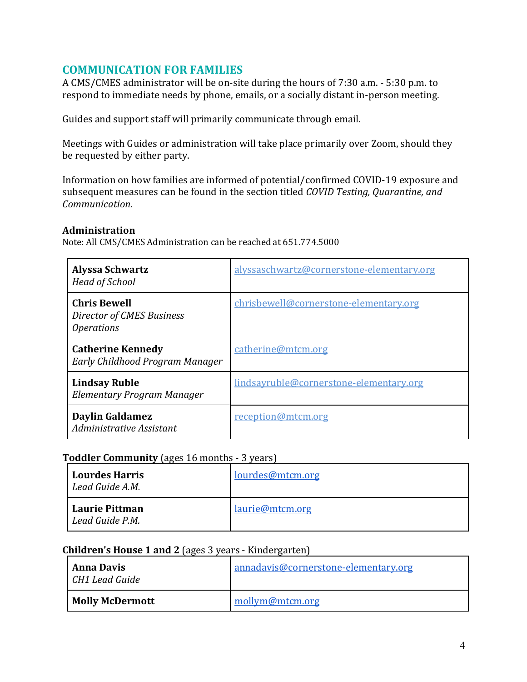### **COMMUNICATION FOR FAMILIES**

A CMS/CMES administrator will be on-site during the hours of 7:30 a.m. - 5:30 p.m. to respond to immediate needs by phone, emails, or a socially distant in-person meeting.

Guides and support staff will primarily communicate through email.

Meetings with Guides or administration will take place primarily over Zoom, should they be requested by either party.

Information on how families are informed of potential/confirmed COVID-19 exposure and subsequent measures can be found in the section titled *COVID Testing, Quarantine, and Communication.*

#### **Administration**

Note: All CMS/CMES Administration can be reached at 651.774.5000

| <b>Alyssa Schwartz</b><br><b>Head of School</b>                              | alyssaschwartz@cornerstone-elementary.org |  |
|------------------------------------------------------------------------------|-------------------------------------------|--|
| <b>Chris Bewell</b><br>Director of CMES Business<br><i><b>Operations</b></i> | chrisbewell@cornerstone-elementary.org    |  |
| <b>Catherine Kennedy</b><br>Early Childhood Program Manager                  | catherine@mtcm.org                        |  |
| <b>Lindsay Ruble</b><br>Elementary Program Manager                           | lindsayruble@cornerstone-elementary.org   |  |
| <b>Daylin Galdamez</b><br>Administrative Assistant                           | reception@mtcm.org                        |  |

#### **Toddler Community** (ages 16 months - 3 years)

| <b>Lourdes Harris</b><br>Lead Guide A.M. | lourdes@mtcm.org |
|------------------------------------------|------------------|
| Laurie Pittman<br>Lead Guide P.M.        | laurie@mtcm.org  |

#### **Children's House 1 and 2** (ages 3 years - Kindergarten)

| <b>Anna Davis</b><br>CH1 Lead Guide | annadavis@cornerstone-elementary.org |
|-------------------------------------|--------------------------------------|
| <b>Molly McDermott</b>              | mollym@mtcm.org                      |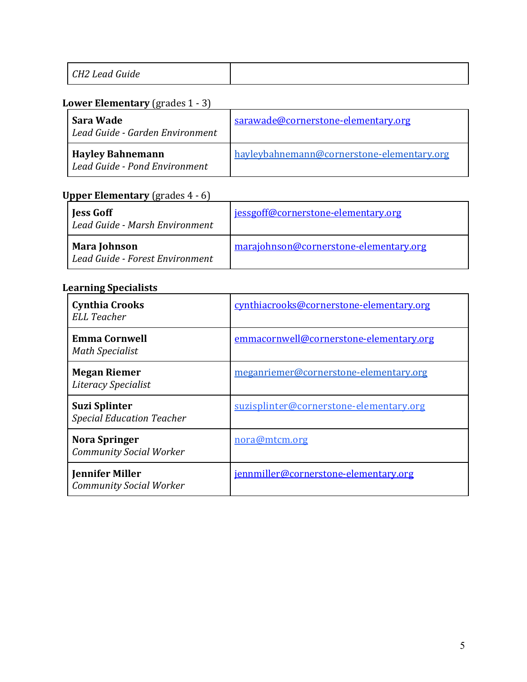| $\sim$<br>$\sqrt{110}$<br>. .<br>CH2 Lead<br>ה היו ל<br>Guide |  |
|---------------------------------------------------------------|--|
|---------------------------------------------------------------|--|

### **Lower Elementary** (grades 1 - 3)

| Sara Wade<br>Lead Guide - Garden Environment             | sarawade@cornerstone-elementary.org        |
|----------------------------------------------------------|--------------------------------------------|
| <b>Hayley Bahnemann</b><br>Lead Guide - Pond Environment | hayleybahnemann@cornerstone-elementary.org |

# **Upper Elementary** (grades 4 - 6)

| Jess Goff<br>Lead Guide - Marsh Environment     | jessgoff@cornerstone-elementary.org    |
|-------------------------------------------------|----------------------------------------|
| Mara Johnson<br>Lead Guide - Forest Environment | marajohnson@cornerstone-elementary.org |

#### **Learning Specialists**

| <b>Cynthia Crooks</b><br><b>ELL Teacher</b>              | cynthiacrooks@cornerstone-elementary.org |  |
|----------------------------------------------------------|------------------------------------------|--|
| <b>Emma Cornwell</b><br><b>Math Specialist</b>           | emmacornwell@cornerstone-elementary.org  |  |
| <b>Megan Riemer</b><br>Literacy Specialist               | meganriemer@cornerstone-elementary.org   |  |
| <b>Suzi Splinter</b><br><b>Special Education Teacher</b> | suzisplinter@cornerstone-elementary.org  |  |
| <b>Nora Springer</b><br><b>Community Social Worker</b>   | nora@mtcm.org                            |  |
| <b>Jennifer Miller</b><br><b>Community Social Worker</b> | jennmiller@cornerstone-elementary.org    |  |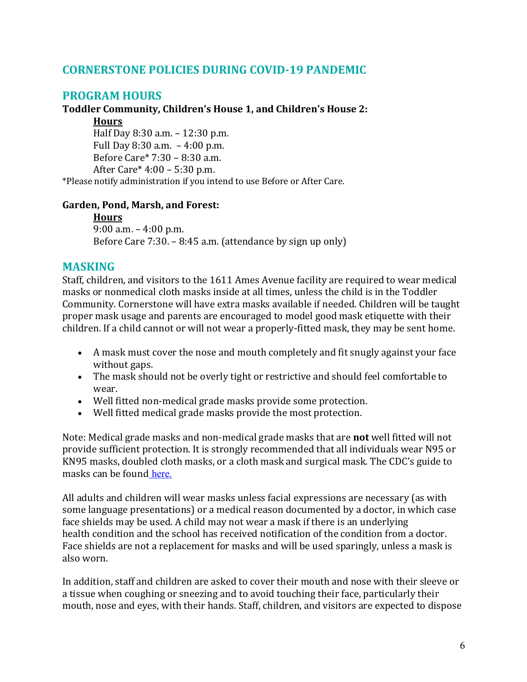### **CORNERSTONE POLICIES DURING COVID-19 PANDEMIC**

### **PROGRAM HOURS**

#### Toddler Community, Children's House 1, and Children's House 2:

**Hours**

Half Day  $8:30$  a.m.  $-12:30$  p.m. Full Day  $8:30$  a.m.  $-4:00$  p.m. Before  $Care* 7:30 - 8:30$  a.m. After Care\*  $4:00 - 5:30$  p.m.

\*Please notify administration if you intend to use Before or After Care.

#### **Garden, Pond, Marsh, and Forest:**

#### **Hours**

9:00 a.m.  $-4:00$  p.m. Before Care  $7:30. - 8:45$  a.m. (attendance by sign up only)

### **MASKING**

Staff, children, and visitors to the 1611 Ames Avenue facility are required to wear medical masks or nonmedical cloth masks inside at all times, unless the child is in the Toddler Community. Cornerstone will have extra masks available if needed. Children will be taught proper mask usage and parents are encouraged to model good mask etiquette with their children. If a child cannot or will not wear a properly-fitted mask, they may be sent home.

- A mask must cover the nose and mouth completely and fit snugly against your face without gaps.
- The mask should not be overly tight or restrictive and should feel comfortable to wear.
- Well fitted non-medical grade masks provide some protection.
- Well fitted medical grade masks provide the most protection.

Note: Medical grade masks and non-medical grade masks that are **not** well fitted will not provide sufficient protection. It is strongly recommended that all individuals wear N95 or KN95 masks, doubled cloth masks, or a cloth mask and surgical mask. The CDC's guide to masks can be found here.

All adults and children will wear masks unless facial expressions are necessary (as with some language presentations) or a medical reason documented by a doctor, in which case face shields may be used. A child may not wear a mask if there is an underlying health condition and the school has received notification of the condition from a doctor. Face shields are not a replacement for masks and will be used sparingly, unless a mask is also worn.

In addition, staff and children are asked to cover their mouth and nose with their sleeve or a tissue when coughing or sneezing and to avoid touching their face, particularly their mouth, nose and eyes, with their hands. Staff, children, and visitors are expected to dispose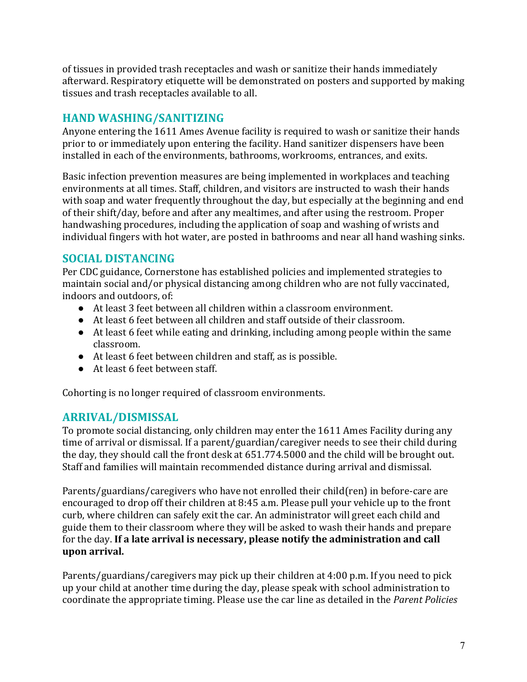of tissues in provided trash receptacles and wash or sanitize their hands immediately afterward. Respiratory etiquette will be demonstrated on posters and supported by making tissues and trash receptacles available to all.

# **HAND WASHING/SANITIZING**

Anyone entering the 1611 Ames Avenue facility is required to wash or sanitize their hands prior to or immediately upon entering the facility. Hand sanitizer dispensers have been installed in each of the environments, bathrooms, workrooms, entrances, and exits.

Basic infection prevention measures are being implemented in workplaces and teaching environments at all times. Staff, children, and visitors are instructed to wash their hands with soap and water frequently throughout the day, but especially at the beginning and end of their shift/day, before and after any mealtimes, and after using the restroom. Proper handwashing procedures, including the application of soap and washing of wrists and individual fingers with hot water, are posted in bathrooms and near all hand washing sinks.

# **SOCIAL DISTANCING**

Per CDC guidance, Cornerstone has established policies and implemented strategies to maintain social and/or physical distancing among children who are not fully vaccinated, indoors and outdoors, of:

- At least 3 feet between all children within a classroom environment.
- $\bullet$  At least 6 feet between all children and staff outside of their classroom.
- $\bullet$  At least 6 feet while eating and drinking, including among people within the same classroom.
- At least 6 feet between children and staff, as is possible.
- At least 6 feet between staff.

Cohorting is no longer required of classroom environments.

# **ARRIVAL/DISMISSAL**

To promote social distancing, only children may enter the 1611 Ames Facility during any time of arrival or dismissal. If a parent/guardian/caregiver needs to see their child during the day, they should call the front desk at 651.774.5000 and the child will be brought out. Staff and families will maintain recommended distance during arrival and dismissal.

Parents/guardians/caregivers who have not enrolled their child(ren) in before-care are encouraged to drop off their children at 8:45 a.m. Please pull your vehicle up to the front curb, where children can safely exit the car. An administrator will greet each child and guide them to their classroom where they will be asked to wash their hands and prepare for the day. If a late arrival is necessary, please notify the administration and call upon arrival.

Parents/guardians/caregivers may pick up their children at  $4:00$  p.m. If you need to pick up your child at another time during the day, please speak with school administration to coordinate the appropriate timing. Please use the car line as detailed in the *Parent Policies*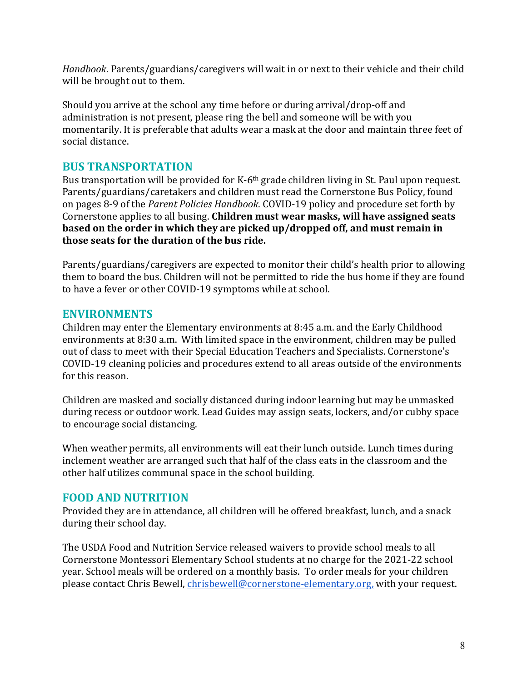*Handbook*. Parents/guardians/caregivers will wait in or next to their vehicle and their child will be brought out to them.

Should you arrive at the school any time before or during arrival/drop-off and administration is not present, please ring the bell and someone will be with you momentarily. It is preferable that adults wear a mask at the door and maintain three feet of social distance.

### **BUS TRANSPORTATION**

Bus transportation will be provided for K-6<sup>th</sup> grade children living in St. Paul upon request. Parents/guardians/caretakers and children must read the Cornerstone Bus Policy, found on pages 8-9 of the *Parent Policies Handbook*. COVID-19 policy and procedure set forth by Cornerstone applies to all busing. Children must wear masks, will have assigned seats **based on the order in which they are picked up/dropped off, and must remain in** those seats for the duration of the bus ride.

Parents/guardians/caregivers are expected to monitor their child's health prior to allowing them to board the bus. Children will not be permitted to ride the bus home if they are found to have a fever or other COVID-19 symptoms while at school.

### **ENVIRONMENTS**

Children may enter the Elementary environments at  $8:45$  a.m. and the Early Childhood environments at 8:30 a.m. With limited space in the environment, children may be pulled out of class to meet with their Special Education Teachers and Specialists. Cornerstone's COVID-19 cleaning policies and procedures extend to all areas outside of the environments for this reason.

Children are masked and socially distanced during indoor learning but may be unmasked during recess or outdoor work. Lead Guides may assign seats, lockers, and/or cubby space to encourage social distancing.

When weather permits, all environments will eat their lunch outside. Lunch times during inclement weather are arranged such that half of the class eats in the classroom and the other half utilizes communal space in the school building.

### **FOOD AND NUTRITION**

Provided they are in attendance, all children will be offered breakfast, lunch, and a snack during their school day.

The USDA Food and Nutrition Service released waivers to provide school meals to all Cornerstone Montessori Elementary School students at no charge for the 2021-22 school year. School meals will be ordered on a monthly basis. To order meals for your children please contact Chris Bewell, chrisbewell@cornerstone-elementary.org, with your request.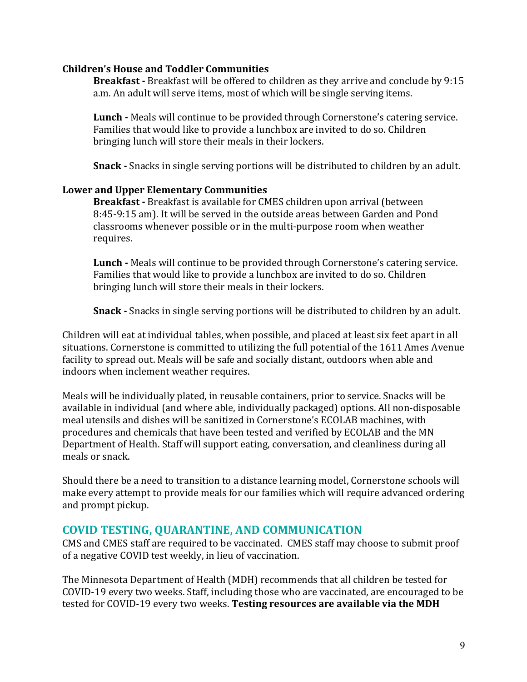#### **Children's House and Toddler Communities**

**Breakfast** - Breakfast will be offered to children as they arrive and conclude by 9:15 a.m. An adult will serve items, most of which will be single serving items.

**Lunch** - Meals will continue to be provided through Cornerstone's catering service. Families that would like to provide a lunchbox are invited to do so. Children bringing lunch will store their meals in their lockers.

**Snack** - Snacks in single serving portions will be distributed to children by an adult.

#### Lower and Upper Elementary Communities

**Breakfast** - Breakfast is available for CMES children upon arrival (between 8:45-9:15 am). It will be served in the outside areas between Garden and Pond classrooms whenever possible or in the multi-purpose room when weather requires.

**Lunch** - Meals will continue to be provided through Cornerstone's catering service. Families that would like to provide a lunchbox are invited to do so. Children bringing lunch will store their meals in their lockers.

**Snack** - Snacks in single serving portions will be distributed to children by an adult.

Children will eat at individual tables, when possible, and placed at least six feet apart in all situations. Cornerstone is committed to utilizing the full potential of the 1611 Ames Avenue facility to spread out. Meals will be safe and socially distant, outdoors when able and indoors when inclement weather requires.

Meals will be individually plated, in reusable containers, prior to service. Snacks will be available in individual (and where able, individually packaged) options. All non-disposable meal utensils and dishes will be sanitized in Cornerstone's ECOLAB machines, with procedures and chemicals that have been tested and verified by ECOLAB and the MN Department of Health. Staff will support eating, conversation, and cleanliness during all meals or snack.

Should there be a need to transition to a distance learning model, Cornerstone schools will make every attempt to provide meals for our families which will require advanced ordering and prompt pickup.

#### **COVID TESTING, QUARANTINE, AND COMMUNICATION**

CMS and CMES staff are required to be vaccinated. CMES staff may choose to submit proof of a negative COVID test weekly, in lieu of vaccination.

The Minnesota Department of Health (MDH) recommends that all children be tested for COVID-19 every two weeks. Staff, including those who are vaccinated, are encouraged to be tested for COVID-19 every two weeks. Testing resources are available via the MDH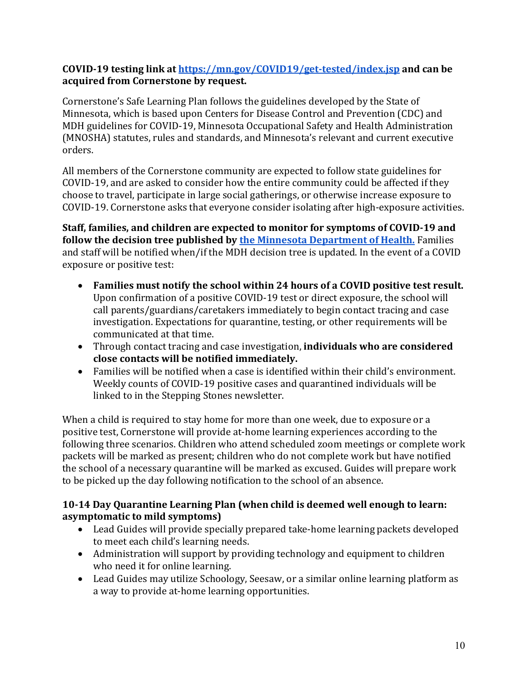#### COVID-19 testing link at https://mn.gov/COVID19/get-tested/index.jsp and can be acquired from Cornerstone by request.

Cornerstone's Safe Learning Plan follows the guidelines developed by the State of Minnesota, which is based upon Centers for Disease Control and Prevention (CDC) and MDH guidelines for COVID-19, Minnesota Occupational Safety and Health Administration (MNOSHA) statutes, rules and standards, and Minnesota's relevant and current executive orders. 

All members of the Cornerstone community are expected to follow state guidelines for COVID-19, and are asked to consider how the entire community could be affected if they choose to travel, participate in large social gatherings, or otherwise increase exposure to COVID-19. Cornerstone asks that everyone consider isolating after high-exposure activities.

Staff, families, and children are expected to monitor for symptoms of COVID-19 and **follow the decision tree published by the Minnesota Department of Health.** Families and staff will be notified when/if the MDH decision tree is updated. In the event of a COVID exposure or positive test:

- Families must notify the school within 24 hours of a COVID positive test result. Upon confirmation of a positive COVID-19 test or direct exposure, the school will call parents/guardians/caretakers immediately to begin contact tracing and case investigation. Expectations for quarantine, testing, or other requirements will be communicated at that time.
- Through contact tracing and case investigation, **individuals who are considered close contacts will be notified immediately.**
- Families will be notified when a case is identified within their child's environment. Weekly counts of COVID-19 positive cases and quarantined individuals will be linked to in the Stepping Stones newsletter.

When a child is required to stay home for more than one week, due to exposure or a positive test, Cornerstone will provide at-home learning experiences according to the following three scenarios. Children who attend scheduled zoom meetings or complete work packets will be marked as present; children who do not complete work but have notified the school of a necessary quarantine will be marked as excused. Guides will prepare work to be picked up the day following notification to the school of an absence.

#### **10-14 Day Quarantine Learning Plan (when child is deemed well enough to learn: asymptomatic to mild symptoms)**

- Lead Guides will provide specially prepared take-home learning packets developed to meet each child's learning needs.
- Administration will support by providing technology and equipment to children who need it for online learning.
- Lead Guides may utilize Schoology, Seesaw, or a similar online learning platform as a way to provide at-home learning opportunities.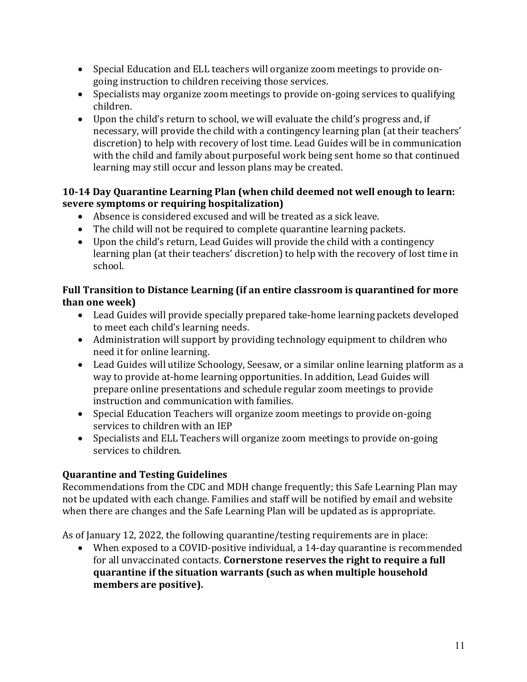- Special Education and ELL teachers will organize zoom meetings to provide ongoing instruction to children receiving those services.
- Specialists may organize zoom meetings to provide on-going services to qualifying children.
- Upon the child's return to school, we will evaluate the child's progress and, if necessary, will provide the child with a contingency learning plan (at their teachers' discretion) to help with recovery of lost time. Lead Guides will be in communication with the child and family about purposeful work being sent home so that continued learning may still occur and lesson plans may be created.

#### **10-14 Day Quarantine Learning Plan (when child deemed not well enough to learn: severe symptoms or requiring hospitalization)**

- $\bullet$  Absence is considered excused and will be treated as a sick leave.
- The child will not be required to complete quarantine learning packets.
- Upon the child's return, Lead Guides will provide the child with a contingency learning plan (at their teachers' discretion) to help with the recovery of lost time in school.

### Full Transition to Distance Learning (if an entire classroom is quarantined for more **than one week)**

- Lead Guides will provide specially prepared take-home learning packets developed to meet each child's learning needs.
- Administration will support by providing technology equipment to children who need it for online learning.
- Lead Guides will utilize Schoology, Seesaw, or a similar online learning platform as a way to provide at-home learning opportunities. In addition, Lead Guides will prepare online presentations and schedule regular zoom meetings to provide instruction and communication with families.
- Special Education Teachers will organize zoom meetings to provide on-going services to children with an IEP
- Specialists and ELL Teachers will organize zoom meetings to provide on-going services to children.

# **Quarantine and Testing Guidelines**

Recommendations from the CDC and MDH change frequently; this Safe Learning Plan may not be updated with each change. Families and staff will be notified by email and website when there are changes and the Safe Learning Plan will be updated as is appropriate.

As of January 12, 2022, the following quarantine/testing requirements are in place:

• When exposed to a COVID-positive individual, a 14-day quarantine is recommended for all unvaccinated contacts. Cornerstone reserves the right to require a full **quarantine if the situation warrants (such as when multiple household** members are positive).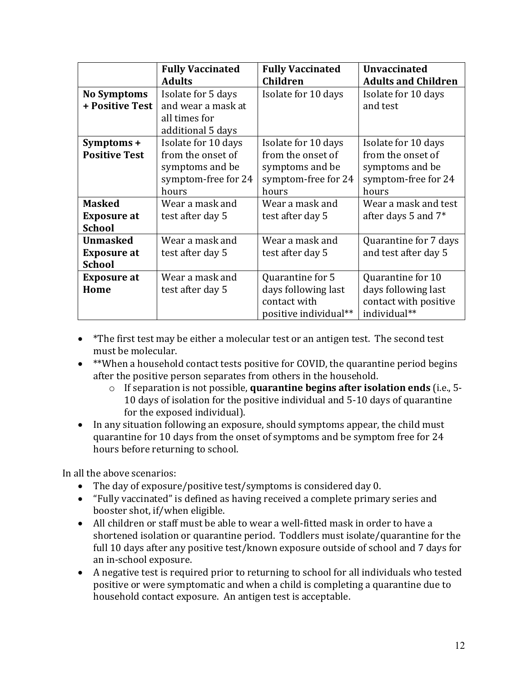|                      | <b>Fully Vaccinated</b><br><b>Adults</b> | <b>Fully Vaccinated</b><br>Children | <b>Unvaccinated</b><br><b>Adults and Children</b> |
|----------------------|------------------------------------------|-------------------------------------|---------------------------------------------------|
| <b>No Symptoms</b>   | Isolate for 5 days                       | Isolate for 10 days                 | Isolate for 10 days                               |
| + Positive Test      | and wear a mask at                       |                                     | and test                                          |
|                      | all times for                            |                                     |                                                   |
|                      | additional 5 days                        |                                     |                                                   |
| Symptoms +           | Isolate for 10 days                      | Isolate for 10 days                 | Isolate for 10 days                               |
| <b>Positive Test</b> | from the onset of                        | from the onset of                   | from the onset of                                 |
|                      | symptoms and be                          | symptoms and be                     | symptoms and be                                   |
|                      | symptom-free for 24                      | symptom-free for 24                 | symptom-free for 24                               |
|                      | hours                                    | hours                               | hours                                             |
| <b>Masked</b>        | Wear a mask and                          | Wear a mask and                     | Wear a mask and test                              |
| <b>Exposure at</b>   | test after day 5                         | test after day 5                    | after days 5 and 7*                               |
| <b>School</b>        |                                          |                                     |                                                   |
| <b>Unmasked</b>      | Wear a mask and                          | Wear a mask and                     | Quarantine for 7 days                             |
| <b>Exposure at</b>   | test after day 5                         | test after day 5                    | and test after day 5                              |
| <b>School</b>        |                                          |                                     |                                                   |
| <b>Exposure at</b>   | Wear a mask and                          | Quarantine for 5                    | Quarantine for 10                                 |
| Home                 | test after day 5                         | days following last                 | days following last                               |
|                      |                                          | contact with                        | contact with positive                             |
|                      |                                          | positive individual**               | individual**                                      |

- $*$ The first test may be either a molecular test or an antigen test. The second test must be molecular.
- \*\*When a household contact tests positive for COVID, the quarantine period begins after the positive person separates from others in the household.
	- o If separation is not possible, **quarantine begins after isolation ends** (i.e., 5-10 days of isolation for the positive individual and 5-10 days of quarantine for the exposed individual).
- In any situation following an exposure, should symptoms appear, the child must quarantine for 10 days from the onset of symptoms and be symptom free for 24 hours before returning to school.

In all the above scenarios:

- The day of exposure/positive test/symptoms is considered day 0.
- "Fully vaccinated" is defined as having received a complete primary series and booster shot, if/when eligible.
- All children or staff must be able to wear a well-fitted mask in order to have a shortened isolation or quarantine period. Toddlers must isolate/quarantine for the full 10 days after any positive test/known exposure outside of school and 7 days for an in-school exposure.
- A negative test is required prior to returning to school for all individuals who tested positive or were symptomatic and when a child is completing a quarantine due to household contact exposure. An antigen test is acceptable.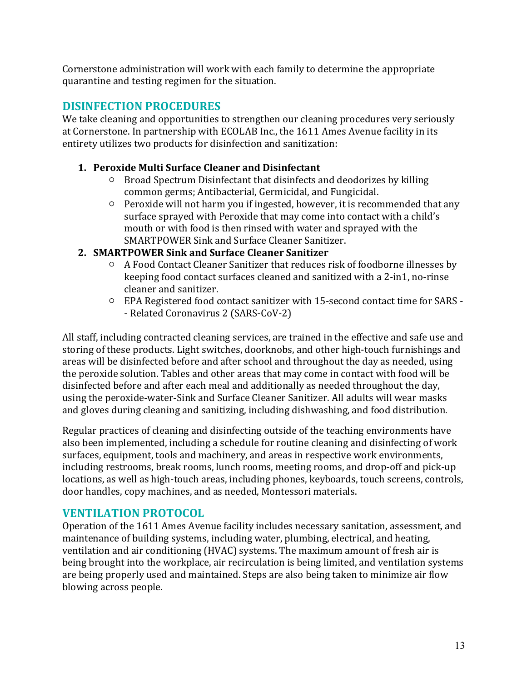Cornerstone administration will work with each family to determine the appropriate quarantine and testing regimen for the situation.

# **DISINFECTION PROCEDURES**

We take cleaning and opportunities to strengthen our cleaning procedures very seriously at Cornerstone. In partnership with ECOLAB Inc., the 1611 Ames Avenue facility in its entirety utilizes two products for disinfection and sanitization:

#### **1. Peroxide Multi Surface Cleaner and Disinfectant**

- Broad Spectrum Disinfectant that disinfects and deodorizes by killing common germs; Antibacterial, Germicidal, and Fungicidal.
- $\circ$  Peroxide will not harm you if ingested, however, it is recommended that any surface sprayed with Peroxide that may come into contact with a child's mouth or with food is then rinsed with water and sprayed with the SMARTPOWER Sink and Surface Cleaner Sanitizer.

### **2. SMARTPOWER Sink and Surface Cleaner Sanitizer**

- A Food Contact Cleaner Sanitizer that reduces risk of foodborne illnesses by keeping food contact surfaces cleaned and sanitized with a 2-in1, no-rinse cleaner and sanitizer.
- EPA Registered food contact sanitizer with 15-second contact time for SARS -- Related Coronavirus 2 (SARS-CoV-2)

All staff, including contracted cleaning services, are trained in the effective and safe use and storing of these products. Light switches, doorknobs, and other high-touch furnishings and areas will be disinfected before and after school and throughout the day as needed, using the peroxide solution. Tables and other areas that may come in contact with food will be disinfected before and after each meal and additionally as needed throughout the day, using the peroxide-water-Sink and Surface Cleaner Sanitizer. All adults will wear masks and gloves during cleaning and sanitizing, including dishwashing, and food distribution.

Regular practices of cleaning and disinfecting outside of the teaching environments have also been implemented, including a schedule for routine cleaning and disinfecting of work surfaces, equipment, tools and machinery, and areas in respective work environments, including restrooms, break rooms, lunch rooms, meeting rooms, and drop-off and pick-up locations, as well as high-touch areas, including phones, keyboards, touch screens, controls, door handles, copy machines, and as needed, Montessori materials.

# **VENTILATION PROTOCOL**

Operation of the 1611 Ames Avenue facility includes necessary sanitation, assessment, and maintenance of building systems, including water, plumbing, electrical, and heating, ventilation and air conditioning (HVAC) systems. The maximum amount of fresh air is being brought into the workplace, air recirculation is being limited, and ventilation systems are being properly used and maintained. Steps are also being taken to minimize air flow blowing across people.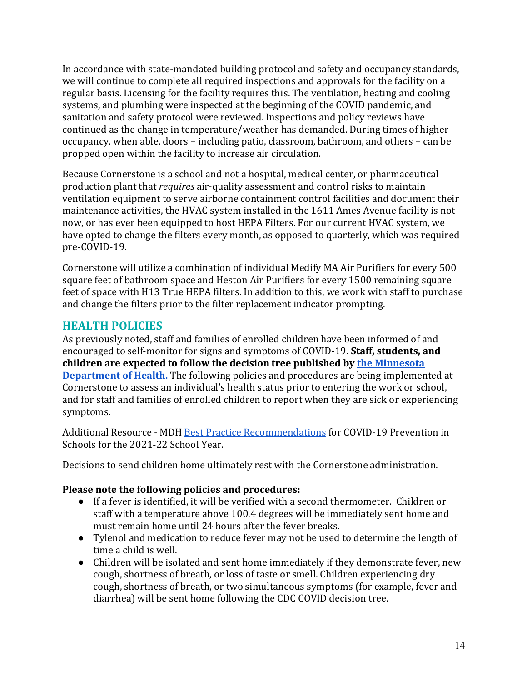In accordance with state-mandated building protocol and safety and occupancy standards, we will continue to complete all required inspections and approvals for the facility on a regular basis. Licensing for the facility requires this. The ventilation, heating and cooling systems, and plumbing were inspected at the beginning of the COVID pandemic, and sanitation and safety protocol were reviewed. Inspections and policy reviews have continued as the change in temperature/weather has demanded. During times of higher occupancy, when able, doors - including patio, classroom, bathroom, and others - can be propped open within the facility to increase air circulation.

Because Cornerstone is a school and not a hospital, medical center, or pharmaceutical production plant that *requires* air-quality assessment and control risks to maintain ventilation equipment to serve airborne containment control facilities and document their maintenance activities, the HVAC system installed in the 1611 Ames Avenue facility is not now, or has ever been equipped to host HEPA Filters. For our current HVAC system, we have opted to change the filters every month, as opposed to quarterly, which was required pre-COVID-19. 

Cornerstone will utilize a combination of individual Medify MA Air Purifiers for every 500 square feet of bathroom space and Heston Air Purifiers for every 1500 remaining square feet of space with H13 True HEPA filters. In addition to this, we work with staff to purchase and change the filters prior to the filter replacement indicator prompting.

# **HEALTH POLICIES**

As previously noted, staff and families of enrolled children have been informed of and encouraged to self-monitor for signs and symptoms of COVID-19. **Staff, students, and** children are expected to follow the decision tree published by the Minnesota **Department of Health.** The following policies and procedures are being implemented at Cornerstone to assess an individual's health status prior to entering the work or school, and for staff and families of enrolled children to report when they are sick or experiencing symptoms. 

Additional Resource - MDH Best Practice Recommendations for COVID-19 Prevention in Schools for the 2021-22 School Year.

Decisions to send children home ultimately rest with the Cornerstone administration.

#### **Please note the following policies and procedures:**

- If a fever is identified, it will be verified with a second thermometer. Children or staff with a temperature above 100.4 degrees will be immediately sent home and must remain home until 24 hours after the fever breaks.
- Tylenol and medication to reduce fever may not be used to determine the length of time a child is well.
- Children will be isolated and sent home immediately if they demonstrate fever, new cough, shortness of breath, or loss of taste or smell. Children experiencing dry cough, shortness of breath, or two simultaneous symptoms (for example, fever and diarrhea) will be sent home following the CDC COVID decision tree.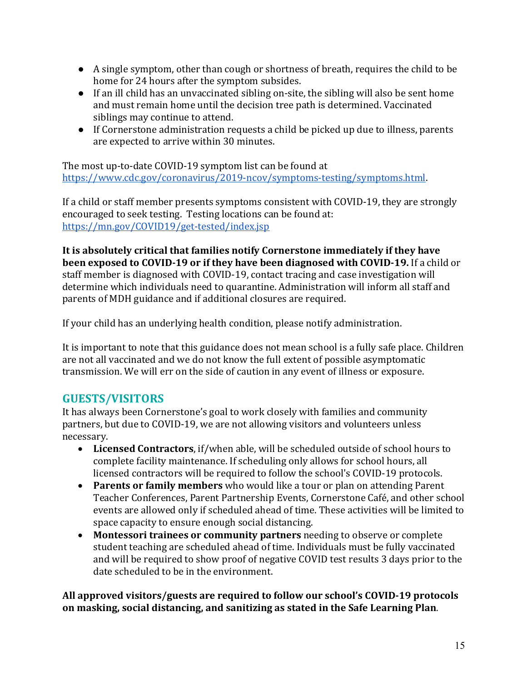- A single symptom, other than cough or shortness of breath, requires the child to be home for 24 hours after the symptom subsides.
- If an ill child has an unvaccinated sibling on-site, the sibling will also be sent home and must remain home until the decision tree path is determined. Vaccinated siblings may continue to attend.
- If Cornerstone administration requests a child be picked up due to illness, parents are expected to arrive within 30 minutes.

The most up-to-date COVID-19 symptom list can be found at https://www.cdc.gov/coronavirus/2019-ncov/symptoms-testing/symptoms.html.

If a child or staff member presents symptoms consistent with COVID-19, they are strongly encouraged to seek testing. Testing locations can be found at: https://mn.gov/COVID19/get-tested/index.jsp

It is absolutely critical that families notify Cornerstone immediately if they have **been exposed to COVID-19 or if they have been diagnosed with COVID-19.** If a child or staff member is diagnosed with COVID-19, contact tracing and case investigation will determine which individuals need to quarantine. Administration will inform all staff and parents of MDH guidance and if additional closures are required.

If your child has an underlying health condition, please notify administration.

It is important to note that this guidance does not mean school is a fully safe place. Children are not all vaccinated and we do not know the full extent of possible asymptomatic transmission. We will err on the side of caution in any event of illness or exposure.

# **GUESTS/VISITORS**

It has always been Cornerstone's goal to work closely with families and community partners, but due to COVID-19, we are not allowing visitors and volunteers unless necessary.

- Licensed Contractors, if/when able, will be scheduled outside of school hours to complete facility maintenance. If scheduling only allows for school hours, all licensed contractors will be required to follow the school's COVID-19 protocols.
- **Parents or family members** who would like a tour or plan on attending Parent Teacher Conferences, Parent Partnership Events, Cornerstone Café, and other school events are allowed only if scheduled ahead of time. These activities will be limited to space capacity to ensure enough social distancing.
- Montessori trainees or community partners needing to observe or complete student teaching are scheduled ahead of time. Individuals must be fully vaccinated and will be required to show proof of negative COVID test results 3 days prior to the date scheduled to be in the environment.

All approved visitors/guests are required to follow our school's COVID-19 protocols on masking, social distancing, and sanitizing as stated in the Safe Learning Plan.